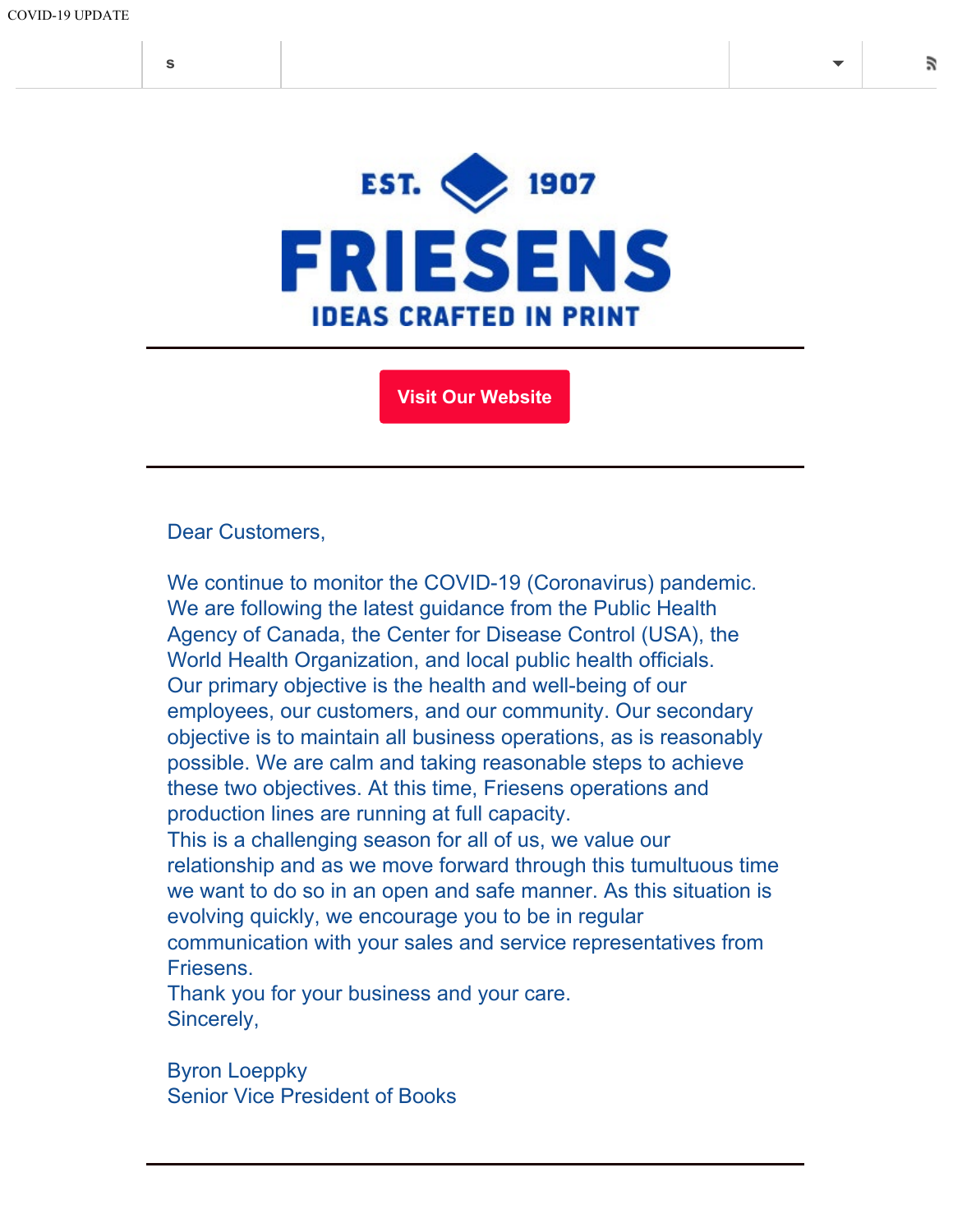

**[Visit Our Website](https://www.friesens.com/books/)**

Dear Customers,

We continue to monitor the COVID-19 (Coronavirus) pandemic. We are following the latest guidance from the Public Health Agency of Canada, the Center for Disease Control (USA), the World Health Organization, and local public health officials. Our primary objective is the health and well-being of our employees, our customers, and our community. Our secondary objective is to maintain all business operations, as is reasonably possible. We are calm and taking reasonable steps to achieve these two objectives. At this time, Friesens operations and production lines are running at full capacity. This is a challenging season for all of us, we value our relationship and as we move forward through this tumultuous time we want to do so in an open and safe manner. As this situation is

evolving quickly, we encourage you to be in regular communication with your sales and service representatives from Friesens.

Thank you for your business and your care. Sincerely,

Byron Loeppky Senior Vice President of Books